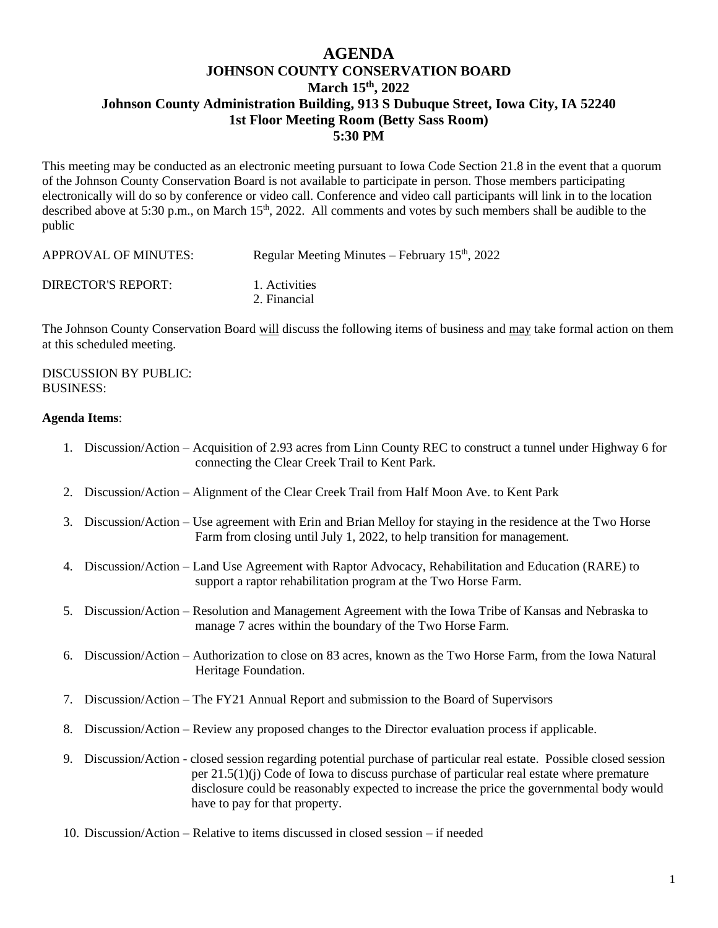## **AGENDA JOHNSON COUNTY CONSERVATION BOARD March 15th , 2022 Johnson County Administration Building, 913 S Dubuque Street, Iowa City, IA 52240 1st Floor Meeting Room (Betty Sass Room) 5:30 PM**

This meeting may be conducted as an electronic meeting pursuant to Iowa Code Section 21.8 in the event that a quorum of the Johnson County Conservation Board is not available to participate in person. Those members participating electronically will do so by conference or video call. Conference and video call participants will link in to the location described above at 5:30 p.m., on March 15<sup>th</sup>, 2022. All comments and votes by such members shall be audible to the public

| APPROVAL OF MINUTES: | Regular Meeting Minutes – February $15th$ , 2022 |
|----------------------|--------------------------------------------------|
| DIRECTOR'S REPORT:   | 1. Activities<br>2. Financial                    |

The Johnson County Conservation Board will discuss the following items of business and may take formal action on them at this scheduled meeting.

DISCUSSION BY PUBLIC: BUSINESS:

## **Agenda Items**:

- 1. Discussion/Action Acquisition of 2.93 acres from Linn County REC to construct a tunnel under Highway 6 for connecting the Clear Creek Trail to Kent Park.
- 2. Discussion/Action Alignment of the Clear Creek Trail from Half Moon Ave. to Kent Park
- 3. Discussion/Action Use agreement with Erin and Brian Melloy for staying in the residence at the Two Horse Farm from closing until July 1, 2022, to help transition for management.
- 4. Discussion/Action Land Use Agreement with Raptor Advocacy, Rehabilitation and Education (RARE) to support a raptor rehabilitation program at the Two Horse Farm.
- 5. Discussion/Action Resolution and Management Agreement with the Iowa Tribe of Kansas and Nebraska to manage 7 acres within the boundary of the Two Horse Farm.
- 6. Discussion/Action Authorization to close on 83 acres, known as the Two Horse Farm, from the Iowa Natural Heritage Foundation.
- 7. Discussion/Action The FY21 Annual Report and submission to the Board of Supervisors
- 8. Discussion/Action Review any proposed changes to the Director evaluation process if applicable.
- 9. Discussion/Action closed session regarding potential purchase of particular real estate. Possible closed session per 21.5(1)(j) Code of Iowa to discuss purchase of particular real estate where premature disclosure could be reasonably expected to increase the price the governmental body would have to pay for that property.
- 10. Discussion/Action Relative to items discussed in closed session if needed